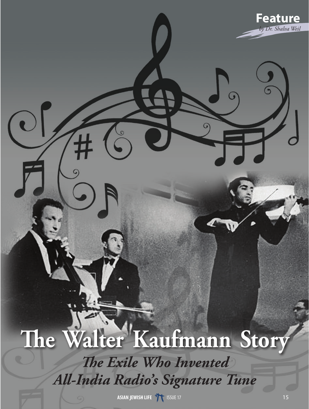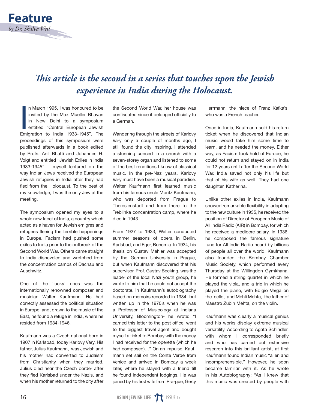

## *This article is the second in a series that touches upon the Jewish experience in India during the Holocaust.*

In March 1995, I was honoured to be<br>invited by the Max Mueller Bhavan<br>in New Delhi to a symposium<br>entitled "Central European Jewish<br>Emigration to India 1933-1945". The n March 1995, I was honoured to be invited by the Max Mueller Bhavan in New Delhi to a symposium entitled "Central European Jewish proceedings of this symposium were published afterwards in a book edited by Profs. Anil Bhatti and Johannes H. Voigt and entitled "Jewish Exiles in India 1933-1945". I myself lectured on the way Indian Jews received the European Jewish refugees in India after they had fled from the Holocaust. To the best of my knowledge, I was the only Jew at the meeting.

The symposium opened my eyes to a whole new facet of India, a country which acted as a haven for Jewish emigres and refugees fleeing the terrible happenings in Europe. Facism had pushed some exiles to India prior to the outbreak of the Second World War. Others came straight to India disheveled and wretched from the concentration camps of Dachau and Auschwitz.

One of the 'lucky' ones was the internationally renowned composer and musician Walter Kaufmann. He had correctly assessed the political situation in Europe, and, drawn to the music of the East, he found a refuge in India, where he resided from 1934-1946.

Kaufmann was a Czech national born in 1907 in Karlsbad, today Karlovy Vary. His father, Julius Kaufmann, was Jewish and his mother had converted to Judaism from Christianity when they married. Julius died near the Czech border after they fled Karlsbad under the Nazis, and when his mother returned to the city after

the Second World War, her house was confiscated since it belonged officially to a German.

Wandering through the streets of Karlovy Vary only a couple of months ago, I still found the city inspiring. I attended a stunning concert in a church with a seven-storey organ and listened to some of the best renditions I know of classical music. In the pre-Nazi years, Karlovy Vary must have been a musical paradise. Walter Kaufmann first learned music from his famous uncle Moritz Kaufmann, who was deported from Prague to Theresienstadt and from there to the Treblinka concentration camp, where he died in 1943.

From 1927 to 1933, Walter conducted summer seasons of opera in Berlin, Karlsbad, and Eger, Bohemia. In 1934, his thesis on Gustav Mahler was accepted by the German University in Prague, but when Kaufmann discovered that his supervisor, Prof. Gustav Becking, was the leader of the local Nazi youth group, he wrote to him that he could not accept the doctorate. In Kaufmann's autobiography based on memoirs recorded in 1934 -but written up in the 1970's when he was a Professor of Musicology at Indiana University, Bloomington- he wrote: "I carried this letter to the post office, went to the biggest travel agent and bought myself a ticket to Bombay with the money I had received for the operetta (which he had composed)…" On an impulse, Kaufmann set sail on the Conte Verde from Venice and arrived in Bombay a week later, where he stayed with a friend till he found independent lodgings. He was joined by his first wife from Pra-gue, Gerty Herrmann, the niece of Franz Kafka's, who was a French teacher.

Once in India, Kaufmann sold his return ticket when he discovered that Indian music would take him some time to learn, and he needed the money. Either way, as Facism took hold of Europe, he could not return and stayed on in India for 12 years until after the Second World War. India saved not only his life but that of his wife as well. They had one daughter, Katherina.

Unlike other exiles in India, Kaufmann showed remarkable flexibility in adapting to the new culture In 1935, he received the position of Director of European Music of All India Radio (AIR) in Bombay, for which he received a mediocre salary. In 1936, he composed the famous signature tune for All India Radio heard by billions of people all over the world. Kaufmann also founded the Bombay Chamber Music Society, which performed every Thursday at the Willingdon Gymkhana. He formed a string quartet in which he played the viola, and a trio in which he played the piano, with Edigio Verga on the cello, and Mehli Mehta, the father of Maestro Zubin Mehta, on the violin.

Kaufmann was clearly a musical genius and his works display extreme musical versatility. According to Agata Schindler, with whom I corresponded briefly and who has carried out extensive research into this brilliant artist, at first Kaufmann found Indian music "alien and incomprehensible." However, he soon became familiar with it. As he wrote in his Autobiography: "As I knew that this music was created by people with